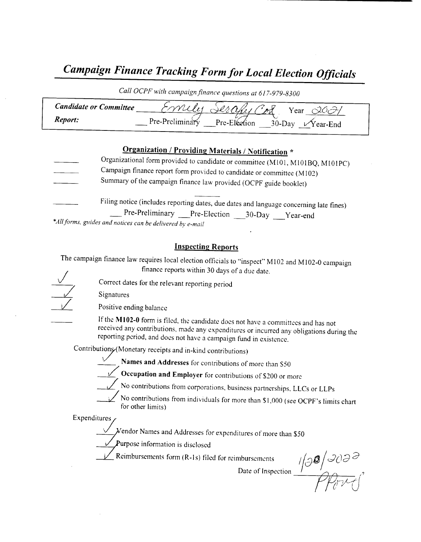# Campaign Finance Tracking Form for Local Election Officials

Call OCPF with campaign finance questions at 617-979-8300

| <b>Candidate or Committee</b> | بكردر<br>Year                                                      |
|-------------------------------|--------------------------------------------------------------------|
| <i>Report:</i>                | Pre-Preliminary<br>Pre-Election<br>$30$ -Dav<br>$\sqrt{Y}$ ear-End |

## Organization / Providing Materials/ Notification \*

- Organizational form provided to candidate or committee (M101, M101BQ, M101PC) Campaign finance report form provided to candidate or committee( M102) Summary of the campaign finance law provided( OCPF guide booklet)
- Filing notice (includes reporting dates, due dates and language concerning late fines)

Pre-Preliminary Pre-Election 30-Day Year-end

\*All forms, guides and notices can be delivered by e-mail

### Inspecting Reports

The campaign finance law requires local election officials to "inspect" M102 and M102-0 campaign finance reports within 30 days of <sup>a</sup> due date.

Correct dates for the relevant reporting period

Signatures

Positive ending balance

If the M102-0 form is filed, the candidate does not have a committees and has not received any contributions, made any expenditures or incurred any obligations during the reporting period, and does not have a campaign fund in existence. PF guide booklet)<br>
language concerning late fines)<br>
-Day \_\_\_Year-end<br>
eet" M102 and M102-0 campaign<br>
date.<br>
we a committees and has not<br>
incurred any obligations during the<br>
in existence.<br>
or than S50<br>
of S200 or more<br>
pa

Contributions (Monetary receipts and in-kind contributions)

Names and Addresses for contributions of more than S50

**Coccupation and Employer** for contributions of \$200 or more

No contributions from corporations, business partnerships, LLCs or LLPs

No contributions from individuals for more than \$1,000 (see OCPF's limits charter for other limits)<br>
Figures 2.<br>
Vendor Names and Addresses for expenditures of more than \$50 for other limits)

Expenditures

 $\not$  endor Names and Addresses for expenditures of more than \$50

 $\frac{V}{V}$ Purpose information is disclosed<br>Reimbursements form (R-1s) filed for reimbursement

mbursements  $\frac{1}{3}$   $\frac{1}{3}$   $\frac{1}{3}$   $\frac{1}{3}$   $\frac{1}{3}$   $\frac{1}{3}$   $\frac{1}{3}$   $\frac{1}{3}$   $\frac{1}{3}$   $\frac{1}{3}$   $\frac{1}{3}$   $\frac{1}{3}$   $\frac{1}{3}$   $\frac{1}{3}$   $\frac{1}{3}$   $\frac{1}{3}$   $\frac{1}{3}$   $\frac{1}{3}$   $\frac{1}{3}$   $\frac{1}{3}$   $\frac{1}{3}$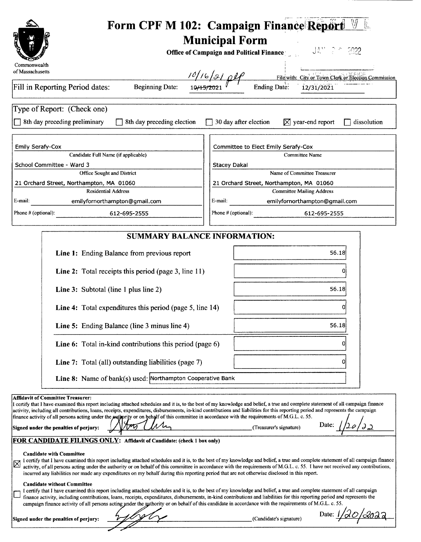|                                                                                                                                                                                                                                                                                                                                                                                                                                                                                                                                                                                                                                                                                                                                                                                                                                                                                                                                                                                                                                                                                                                                                                                                                                                                                                                                                                                                                                                                                                                                                                                                                                                                                                                                                                                                                                                              | Form CPF M 102: Campaign Finance Report<br><b>Municipal Form</b><br><b>Office of Campaign and Political Finance</b> |  |  |  |  |
|--------------------------------------------------------------------------------------------------------------------------------------------------------------------------------------------------------------------------------------------------------------------------------------------------------------------------------------------------------------------------------------------------------------------------------------------------------------------------------------------------------------------------------------------------------------------------------------------------------------------------------------------------------------------------------------------------------------------------------------------------------------------------------------------------------------------------------------------------------------------------------------------------------------------------------------------------------------------------------------------------------------------------------------------------------------------------------------------------------------------------------------------------------------------------------------------------------------------------------------------------------------------------------------------------------------------------------------------------------------------------------------------------------------------------------------------------------------------------------------------------------------------------------------------------------------------------------------------------------------------------------------------------------------------------------------------------------------------------------------------------------------------------------------------------------------------------------------------------------------|---------------------------------------------------------------------------------------------------------------------|--|--|--|--|
| Commonwealth<br>of Massachusetts                                                                                                                                                                                                                                                                                                                                                                                                                                                                                                                                                                                                                                                                                                                                                                                                                                                                                                                                                                                                                                                                                                                                                                                                                                                                                                                                                                                                                                                                                                                                                                                                                                                                                                                                                                                                                             | Filewith: City or Town Clerk or Blection Commission                                                                 |  |  |  |  |
| Fill in Reporting Period dates:<br><b>Ending Date:</b><br><b>Beginning Date:</b><br>12/31/2021                                                                                                                                                                                                                                                                                                                                                                                                                                                                                                                                                                                                                                                                                                                                                                                                                                                                                                                                                                                                                                                                                                                                                                                                                                                                                                                                                                                                                                                                                                                                                                                                                                                                                                                                                               |                                                                                                                     |  |  |  |  |
| Type of Report: (Check one)<br>8th day preceding preliminary<br>8th day preceding election                                                                                                                                                                                                                                                                                                                                                                                                                                                                                                                                                                                                                                                                                                                                                                                                                                                                                                                                                                                                                                                                                                                                                                                                                                                                                                                                                                                                                                                                                                                                                                                                                                                                                                                                                                   | $\Box$ 30 day after election<br>$\boxtimes$ year-end report<br>dissolution                                          |  |  |  |  |
| <b>Emily Serafy-Cox</b>                                                                                                                                                                                                                                                                                                                                                                                                                                                                                                                                                                                                                                                                                                                                                                                                                                                                                                                                                                                                                                                                                                                                                                                                                                                                                                                                                                                                                                                                                                                                                                                                                                                                                                                                                                                                                                      | Committee to Elect Emily Serafy-Cox                                                                                 |  |  |  |  |
| Candidate Full Name (if applicable)<br>School Committee - Ward 3                                                                                                                                                                                                                                                                                                                                                                                                                                                                                                                                                                                                                                                                                                                                                                                                                                                                                                                                                                                                                                                                                                                                                                                                                                                                                                                                                                                                                                                                                                                                                                                                                                                                                                                                                                                             | <b>Committee Name</b><br><b>Stacey Dakai</b>                                                                        |  |  |  |  |
| Office Sought and District                                                                                                                                                                                                                                                                                                                                                                                                                                                                                                                                                                                                                                                                                                                                                                                                                                                                                                                                                                                                                                                                                                                                                                                                                                                                                                                                                                                                                                                                                                                                                                                                                                                                                                                                                                                                                                   | Name of Committee Treasurer                                                                                         |  |  |  |  |
| 21 Orchard Street, Northampton, MA 01060                                                                                                                                                                                                                                                                                                                                                                                                                                                                                                                                                                                                                                                                                                                                                                                                                                                                                                                                                                                                                                                                                                                                                                                                                                                                                                                                                                                                                                                                                                                                                                                                                                                                                                                                                                                                                     | 21 Orchard Street, Northampton, MA 01060                                                                            |  |  |  |  |
| <b>Residential Address</b><br>E-mail:<br>emilyfornorthampton@gmail.com                                                                                                                                                                                                                                                                                                                                                                                                                                                                                                                                                                                                                                                                                                                                                                                                                                                                                                                                                                                                                                                                                                                                                                                                                                                                                                                                                                                                                                                                                                                                                                                                                                                                                                                                                                                       | <b>Committee Mailing Address</b><br>E-mail:<br>emilyfornorthampton@gmail.com                                        |  |  |  |  |
| Phone # (optional):<br>612-695-2555                                                                                                                                                                                                                                                                                                                                                                                                                                                                                                                                                                                                                                                                                                                                                                                                                                                                                                                                                                                                                                                                                                                                                                                                                                                                                                                                                                                                                                                                                                                                                                                                                                                                                                                                                                                                                          | Phone # (optional):<br>612-695-2555                                                                                 |  |  |  |  |
| <b>SUMMARY BALANCE INFORMATION:</b>                                                                                                                                                                                                                                                                                                                                                                                                                                                                                                                                                                                                                                                                                                                                                                                                                                                                                                                                                                                                                                                                                                                                                                                                                                                                                                                                                                                                                                                                                                                                                                                                                                                                                                                                                                                                                          |                                                                                                                     |  |  |  |  |
| Line 1: Ending Balance from previous report<br>56.18<br>Line 2: Total receipts this period (page 3, line 11)<br>0                                                                                                                                                                                                                                                                                                                                                                                                                                                                                                                                                                                                                                                                                                                                                                                                                                                                                                                                                                                                                                                                                                                                                                                                                                                                                                                                                                                                                                                                                                                                                                                                                                                                                                                                            |                                                                                                                     |  |  |  |  |
| Line 3: Subtotal (line 1 plus line 2)                                                                                                                                                                                                                                                                                                                                                                                                                                                                                                                                                                                                                                                                                                                                                                                                                                                                                                                                                                                                                                                                                                                                                                                                                                                                                                                                                                                                                                                                                                                                                                                                                                                                                                                                                                                                                        | 56.18                                                                                                               |  |  |  |  |
| Line 4: Total expenditures this period (page 5, line 14)                                                                                                                                                                                                                                                                                                                                                                                                                                                                                                                                                                                                                                                                                                                                                                                                                                                                                                                                                                                                                                                                                                                                                                                                                                                                                                                                                                                                                                                                                                                                                                                                                                                                                                                                                                                                     | $\Omega$                                                                                                            |  |  |  |  |
| Line 5: Ending Balance (line 3 minus line 4)                                                                                                                                                                                                                                                                                                                                                                                                                                                                                                                                                                                                                                                                                                                                                                                                                                                                                                                                                                                                                                                                                                                                                                                                                                                                                                                                                                                                                                                                                                                                                                                                                                                                                                                                                                                                                 | 56.18                                                                                                               |  |  |  |  |
| Line 6: Total in-kind contributions this period (page 6)                                                                                                                                                                                                                                                                                                                                                                                                                                                                                                                                                                                                                                                                                                                                                                                                                                                                                                                                                                                                                                                                                                                                                                                                                                                                                                                                                                                                                                                                                                                                                                                                                                                                                                                                                                                                     | Ω                                                                                                                   |  |  |  |  |
| <b>Line 7:</b> Total (all) outstanding liabilities (page 7)                                                                                                                                                                                                                                                                                                                                                                                                                                                                                                                                                                                                                                                                                                                                                                                                                                                                                                                                                                                                                                                                                                                                                                                                                                                                                                                                                                                                                                                                                                                                                                                                                                                                                                                                                                                                  | O                                                                                                                   |  |  |  |  |
| Line 8: Name of bank(s) used: Northampton Cooperative Bank                                                                                                                                                                                                                                                                                                                                                                                                                                                                                                                                                                                                                                                                                                                                                                                                                                                                                                                                                                                                                                                                                                                                                                                                                                                                                                                                                                                                                                                                                                                                                                                                                                                                                                                                                                                                   |                                                                                                                     |  |  |  |  |
| Affidavit of Committee Treasurer:<br>I certify that I have examined this report including attached schedules and it is, to the best of my knowledge and belief, a true and complete statement of all campaign finance<br>activity, including all contributions, loans, receipts, expenditures, disbursements, in-kind contributions and liabilities for this reporting period and represents the campaign<br>finance activity of all persons acting under the authority or on behalf of this committee in accordance with the requirements of M.G.L. c. 55.<br>Date:<br>Signed under the penalties of perjury:<br>(Treasurer's signature)<br>FOR CANDIDATE FILINGS ONLY: Affidavit of Candidate: (check 1 box only)<br><b>Candidate with Committee</b><br>I certify that I have examined this report including attached schedules and it is, to the best of my knowledge and belief, a true and complete statement of all campaign finance<br>activity, of all persons acting under the authority or on behalf of this committee in accordance with the requirements of M.G.L. c. 55. I have not received any contributions,<br>incurred any liabilities nor made any expenditures on my behalf during this reporting period that are not otherwise disclosed in this report.<br><b>Candidate without Committee</b><br>I certify that I have examined this report including attached schedules and it is, to the best of my knowledge and belief, a true and complete statement of all campaign<br>finance activity, including contributions, loans, receipts, expenditures, disbursements, in-kind contributions and liabilities for this reporting period and represents the<br>campaign finance activity of all persons acting under the authority or on behalf of this candidate in accordance with the requirements of M.G.L. c. 55.<br>Date: 1/20/2022 |                                                                                                                     |  |  |  |  |
| Signed under the penalties of perjury:                                                                                                                                                                                                                                                                                                                                                                                                                                                                                                                                                                                                                                                                                                                                                                                                                                                                                                                                                                                                                                                                                                                                                                                                                                                                                                                                                                                                                                                                                                                                                                                                                                                                                                                                                                                                                       | (Candidate's signature)                                                                                             |  |  |  |  |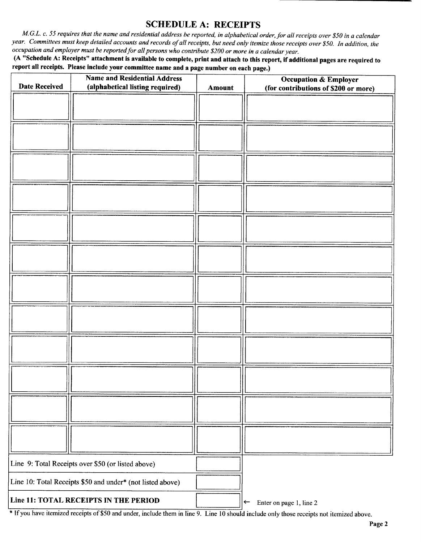## SCHEDULE A: RECEIPTS

M.G.L. c. 55 requires that the name and residential address be reported, in alphabetical order, for all receipts over \$50 in a calendar year. Committees must keep detailed accounts and records of all receipts, but need only itemize those receipts over \$50. In addition, the occupation and employer must be reported for all persons who contribute \$200 or more in a calendar year.

A" Schedule A: Receipts" attachment is available to complete, print and attach to this report, if additional pages are required to report all receipts. Please include your committee name and a page number on each page.)

|                                                            | <b>Name and Residential Address</b>                |        | <b>Occupation &amp; Employer</b>        |
|------------------------------------------------------------|----------------------------------------------------|--------|-----------------------------------------|
| <b>Date Received</b>                                       | (alphabetical listing required)                    | Amount | (for contributions of \$200 or more)    |
|                                                            |                                                    |        |                                         |
|                                                            |                                                    |        |                                         |
|                                                            |                                                    |        |                                         |
|                                                            |                                                    |        |                                         |
|                                                            |                                                    |        |                                         |
|                                                            |                                                    |        |                                         |
|                                                            |                                                    |        |                                         |
|                                                            |                                                    |        |                                         |
|                                                            |                                                    |        |                                         |
|                                                            |                                                    |        |                                         |
|                                                            |                                                    |        |                                         |
|                                                            |                                                    |        |                                         |
|                                                            |                                                    |        |                                         |
|                                                            |                                                    |        |                                         |
|                                                            |                                                    |        |                                         |
|                                                            |                                                    |        |                                         |
|                                                            |                                                    |        |                                         |
|                                                            |                                                    |        |                                         |
|                                                            |                                                    |        |                                         |
|                                                            |                                                    |        |                                         |
|                                                            |                                                    |        |                                         |
|                                                            |                                                    |        |                                         |
|                                                            |                                                    |        |                                         |
|                                                            |                                                    |        |                                         |
|                                                            |                                                    |        |                                         |
|                                                            |                                                    |        |                                         |
|                                                            |                                                    |        |                                         |
|                                                            |                                                    |        |                                         |
|                                                            |                                                    |        |                                         |
|                                                            |                                                    |        |                                         |
|                                                            |                                                    |        |                                         |
|                                                            |                                                    |        |                                         |
|                                                            | Line 9: Total Receipts over \$50 (or listed above) |        |                                         |
| Line 10: Total Receipts \$50 and under* (not listed above) |                                                    |        |                                         |
| Line 11: TOTAL RECEIPTS IN THE PERIOD                      |                                                    |        | Enter on page 1, line 2<br>$\leftarrow$ |

\* If you have itemized receipts of \$50 and under, include them in line 9. Line 10 should include only those receipts not itemized above.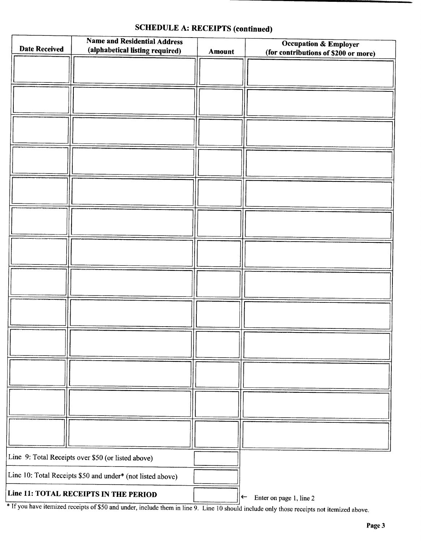| <b>Date Received</b> | <b>Name and Residential Address</b><br>(alphabetical listing required) | Amount | <b>Occupation &amp; Employer</b><br>(for contributions of \$200 or more) |
|----------------------|------------------------------------------------------------------------|--------|--------------------------------------------------------------------------|
|                      |                                                                        |        |                                                                          |
|                      |                                                                        |        |                                                                          |
|                      |                                                                        |        |                                                                          |
|                      |                                                                        |        |                                                                          |
|                      |                                                                        |        |                                                                          |
|                      |                                                                        |        |                                                                          |
|                      |                                                                        |        |                                                                          |
|                      |                                                                        |        |                                                                          |
|                      |                                                                        |        |                                                                          |
|                      |                                                                        |        |                                                                          |
|                      |                                                                        |        |                                                                          |
|                      |                                                                        |        |                                                                          |
|                      |                                                                        |        |                                                                          |
|                      |                                                                        |        |                                                                          |
|                      |                                                                        |        |                                                                          |
|                      | Line 9: Total Receipts over \$50 (or listed above)                     |        |                                                                          |
|                      | Line 10: Total Receipts \$50 and under* (not listed above)             |        |                                                                          |
|                      | Line 11: TOTAL RECEIPTS IN THE PERIOD                                  |        | Enter on page 1, line 2<br>$\left  \leftarrow \right $                   |

## SCHEDULE A: RECEIPTS (continued)

If you have hemized receipts of  $\delta$  50 and under, include them in line 9. Line 10 should include only those receipts not itemized above.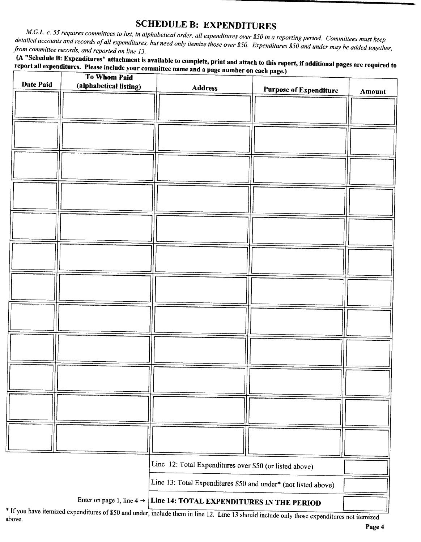SCHEDULE B: EXPENDITURES<br>M.G.L. c. 55 requires committees to list, in alphabetical order, all expenditures over \$50 in a reporting period. Committees must keep iled accounts and records of all expenditures but need only itemia those with  $\frac{1}{2}$  or  $\frac{1}{2}$  in a reporting period. Committees must keep from committee records, and reported on line 13.

report all expenditures. Please include your committee name and a page number on each page.)<br>The National pages are required to the set of the name and a page number on each page.)

| Date Paid                                                                          | To Whom Paid           |                                                                |                               |        |
|------------------------------------------------------------------------------------|------------------------|----------------------------------------------------------------|-------------------------------|--------|
|                                                                                    | (alphabetical listing) | <b>Address</b>                                                 | <b>Purpose of Expenditure</b> | Amount |
|                                                                                    |                        |                                                                |                               |        |
|                                                                                    |                        |                                                                |                               |        |
|                                                                                    |                        |                                                                |                               |        |
|                                                                                    |                        |                                                                |                               |        |
|                                                                                    |                        |                                                                |                               |        |
|                                                                                    |                        |                                                                |                               |        |
|                                                                                    |                        |                                                                |                               |        |
|                                                                                    |                        |                                                                |                               |        |
|                                                                                    |                        |                                                                |                               |        |
|                                                                                    |                        |                                                                |                               |        |
|                                                                                    |                        |                                                                |                               |        |
|                                                                                    |                        |                                                                |                               |        |
|                                                                                    |                        |                                                                |                               |        |
|                                                                                    |                        |                                                                |                               |        |
|                                                                                    |                        |                                                                |                               |        |
|                                                                                    |                        |                                                                |                               |        |
|                                                                                    |                        |                                                                |                               |        |
|                                                                                    |                        |                                                                |                               |        |
|                                                                                    |                        |                                                                |                               |        |
|                                                                                    |                        |                                                                |                               |        |
|                                                                                    |                        |                                                                |                               |        |
|                                                                                    |                        |                                                                |                               |        |
|                                                                                    |                        |                                                                |                               |        |
|                                                                                    |                        |                                                                |                               |        |
|                                                                                    |                        |                                                                |                               |        |
|                                                                                    |                        |                                                                |                               |        |
|                                                                                    |                        |                                                                |                               |        |
|                                                                                    |                        |                                                                |                               |        |
|                                                                                    |                        |                                                                |                               |        |
|                                                                                    |                        |                                                                |                               |        |
|                                                                                    |                        | Line 12: Total Expenditures over \$50 (or listed above)        |                               |        |
|                                                                                    |                        | Line 13: Total Expenditures \$50 and under* (not listed above) |                               |        |
| Enter on page 1, line 4 $\rightarrow$<br>Line 14: TOTAL EXPENDITURES IN THE PERIOD |                        |                                                                |                               |        |
|                                                                                    |                        |                                                                |                               |        |

above.<br>Above.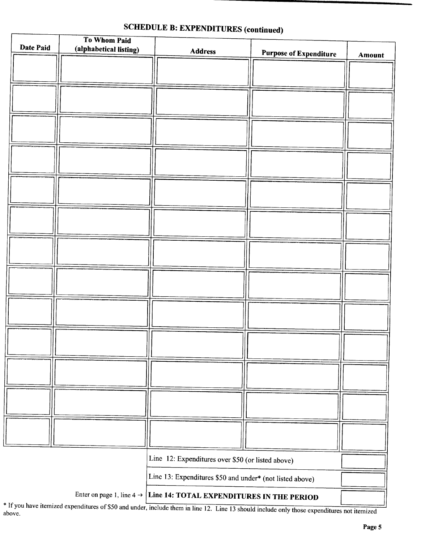|           | To Whom Paid           |                                                          |                               |        |
|-----------|------------------------|----------------------------------------------------------|-------------------------------|--------|
| Date Paid | (alphabetical listing) | Address                                                  | <b>Purpose of Expenditure</b> | Amount |
|           |                        |                                                          |                               |        |
|           |                        |                                                          |                               |        |
|           |                        |                                                          |                               |        |
|           |                        |                                                          |                               |        |
|           |                        |                                                          |                               |        |
|           |                        |                                                          |                               |        |
|           |                        |                                                          |                               |        |
|           |                        |                                                          |                               |        |
|           |                        |                                                          |                               |        |
|           |                        |                                                          |                               |        |
|           |                        |                                                          |                               |        |
|           |                        |                                                          |                               |        |
|           |                        |                                                          |                               |        |
|           |                        |                                                          |                               |        |
|           |                        |                                                          |                               |        |
|           |                        |                                                          |                               |        |
|           |                        |                                                          |                               |        |
|           |                        |                                                          |                               |        |
|           |                        |                                                          |                               |        |
|           |                        |                                                          |                               |        |
|           |                        |                                                          |                               |        |
|           |                        |                                                          |                               |        |
|           |                        |                                                          |                               |        |
|           |                        |                                                          |                               |        |
|           |                        |                                                          |                               |        |
|           |                        |                                                          |                               |        |
|           |                        |                                                          |                               |        |
|           |                        |                                                          |                               |        |
|           |                        |                                                          |                               |        |
|           |                        |                                                          |                               |        |
|           |                        |                                                          |                               |        |
|           |                        |                                                          |                               |        |
|           |                        |                                                          |                               |        |
|           |                        |                                                          |                               |        |
|           |                        | Line 12: Expenditures over \$50 (or listed above)        |                               |        |
|           |                        |                                                          |                               |        |
|           |                        | Line 13: Expenditures \$50 and under* (not listed above) |                               |        |
|           |                        |                                                          |                               |        |

# SCHEDULE B: EXPENDITURES (continued)

Enter on page 1, line  $4 \rightarrow$  Line 14: TOTAL EXPENDITURES IN THE PERIOD

Ŀ

\* If you have itemized expenditures of \$50 and under, include them in line 12. Line 13 should include only those expenditures not itemized above.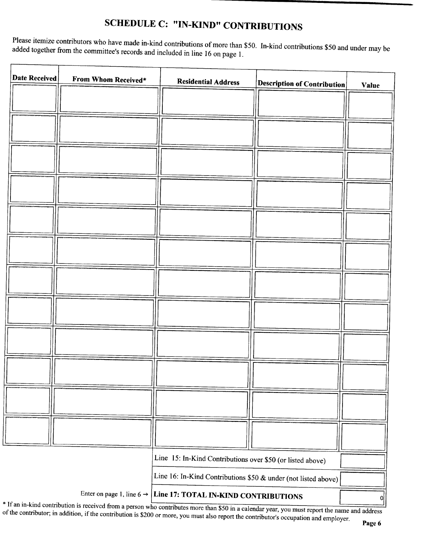# SCHEDULE C: "IN-KIND" CONTRIBUTIONS

Please itemize contributors who have made in-kind contributions of more than \$50. In-kind contributions \$50 and under may be added together from the committee's records and included in line 16 on page 1.

f

| Date Received | From Whom Received*                   | <b>Residential Address</b>                                     | $ \mathbf{Description}$ of Contribution | <b>Value</b> |
|---------------|---------------------------------------|----------------------------------------------------------------|-----------------------------------------|--------------|
|               |                                       |                                                                |                                         |              |
|               |                                       |                                                                |                                         |              |
|               |                                       |                                                                |                                         |              |
|               |                                       |                                                                |                                         |              |
|               |                                       |                                                                |                                         |              |
|               |                                       |                                                                |                                         |              |
|               |                                       |                                                                |                                         |              |
|               |                                       |                                                                |                                         |              |
|               |                                       |                                                                |                                         |              |
|               |                                       |                                                                |                                         |              |
|               |                                       |                                                                |                                         |              |
|               |                                       |                                                                |                                         |              |
|               |                                       |                                                                |                                         |              |
|               |                                       | Line 15: In-Kind Contributions over \$50 (or listed above)     |                                         |              |
|               |                                       | Line 16: In-Kind Contributions \$50 & under (not listed above) |                                         |              |
|               | Enter on page 1, line 6 $\rightarrow$ | Line 17: TOTAL IN-KIND CONTRIBUTIONS                           |                                         | <sub>0</sub> |

If the contributor: in addition if the contribution is  $$200$  or mans successively. It as calendar year, you must report the name and address of the contributor; in addition, if the contribution is \$200 or more, you must also report the contributor's occupation and employer.